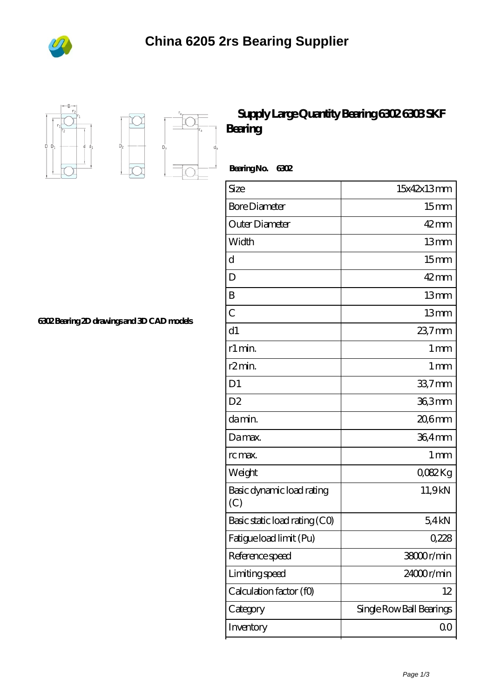



 $\overrightarrow{D}$ 

## **[Supply Large Quantity Bearing 6302 6303 SKF](https://m.bi-countytransitway.com/skf-6302-bearing/skf-6302.html) [Bearing](https://m.bi-countytransitway.com/skf-6302-bearing/skf-6302.html)**

 **Bearing No. 6302** Size 15x42x13 mm Bore Diameter 15 mm Outer Diameter **1988** and 12 mm Width 13 mm d 15mm D  $42 \text{mm}$  $\mathsf B$  13 mm  $\sim$  13 mm d1 23,7 mm r1 min. 1 mm r $2 \text{min.}$  1 mm D1 33,7mm D2 36,3 mm da min. 20,6 mm Da max. 1 36,4 mm rc max. 1 mm Weight COS2 Kg Basic dynamic load rating (C) 11,9 kN Basic static load rating  $(CQ)$  5,4 kN Fatigue load limit (Pu) 0,228 Reference speed 38000 r/min Limiting speed 24000 r/min Calculation factor (f0) 22 Category Single Row Ball Bearings Inventory 0.0

**[6302 Bearing 2D drawings and 3D CAD models](https://m.bi-countytransitway.com/pic-820901.html)**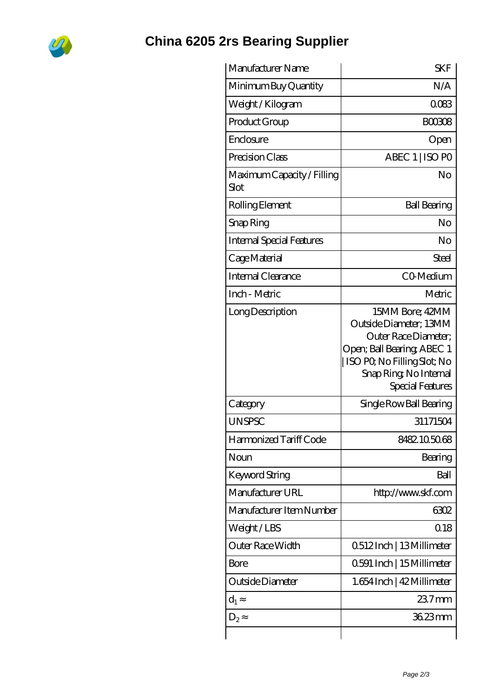

## **[China 6205 2rs Bearing Supplier](https://m.bi-countytransitway.com)**

| Manufacturer Name                  | <b>SKF</b>                                                                                                                                                                   |
|------------------------------------|------------------------------------------------------------------------------------------------------------------------------------------------------------------------------|
| Minimum Buy Quantity               | N/A                                                                                                                                                                          |
| Weight / Kilogram                  | 0083                                                                                                                                                                         |
| Product Group                      | <b>BOO308</b>                                                                                                                                                                |
| Enclosure                          | Open                                                                                                                                                                         |
| Precision Class                    | ABEC 1   ISO PO                                                                                                                                                              |
| Maximum Capacity / Filling<br>Slot | No                                                                                                                                                                           |
| Rolling Element                    | <b>Ball Bearing</b>                                                                                                                                                          |
| Snap Ring                          | No                                                                                                                                                                           |
| <b>Internal Special Features</b>   | No                                                                                                                                                                           |
| Cage Material                      | Steel                                                                                                                                                                        |
| Internal Clearance                 | CO-Medium                                                                                                                                                                    |
| Inch - Metric                      | Metric                                                                                                                                                                       |
| Long Description                   | 15MM Bore; 42MM<br>Outside Diameter; 13MM<br>Outer Race Diameter;<br>Open; Ball Bearing; ABEC 1<br>ISO PO, No Filling Slot; No<br>Snap Ring, No Internal<br>Special Features |
| Category                           | Single Row Ball Bearing                                                                                                                                                      |
| <b>UNSPSC</b>                      | 31171504                                                                                                                                                                     |
| Harmonized Tariff Code             | 8482105068                                                                                                                                                                   |
| Noun                               | Bearing                                                                                                                                                                      |
| Keyword String                     | Ball                                                                                                                                                                         |
| Manufacturer URL                   | http://www.skf.com                                                                                                                                                           |
| Manufacturer Item Number           | 6302                                                                                                                                                                         |
| Weight/LBS                         | 0.18                                                                                                                                                                         |
| Outer Race Width                   | 0512Inch   13Millimeter                                                                                                                                                      |
| <b>Bore</b>                        | 0.591 Inch   15 Millimeter                                                                                                                                                   |
| Outside Diameter                   | 1.654 Inch   42 Millimeter                                                                                                                                                   |
| $d_1$                              | 23.7mm                                                                                                                                                                       |
| $D_2$                              | 36.23mm                                                                                                                                                                      |
|                                    |                                                                                                                                                                              |